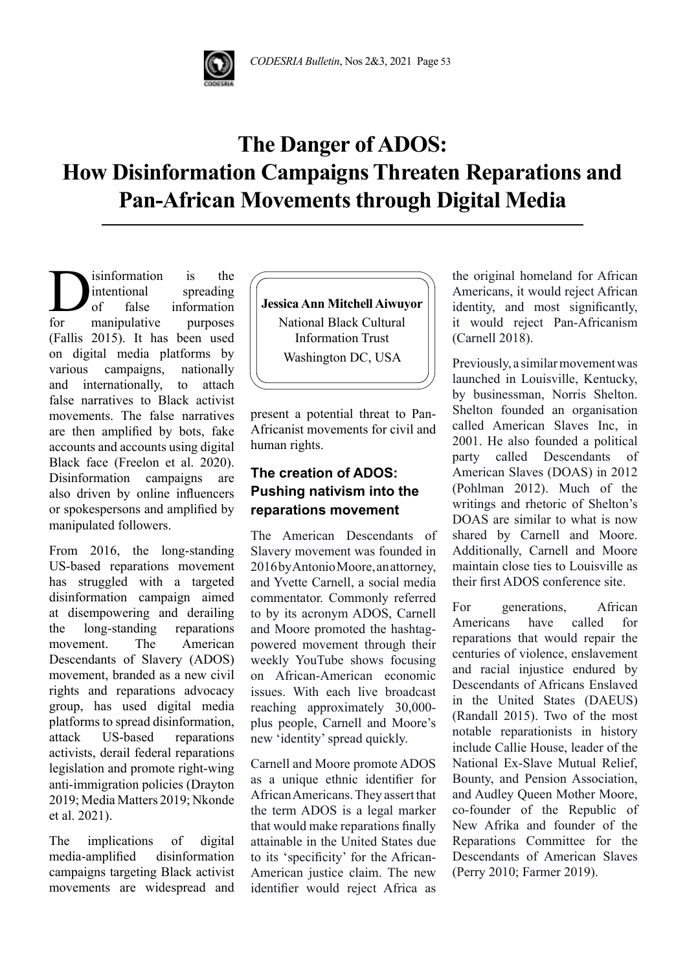# **The Danger of ADOS: How Disinformation Campaigns Threaten Reparations and Pan-African Movements through Digital Media**

**D**isinformation is the<br>intentional spreading<br>for manipulative purposes intentional spreading of false information for manipulative purposes (Fallis 2015). It has been used on digital media platforms by various campaigns, nationally and internationally, to attach false narratives to Black activist movements. The false narratives are then amplified by bots, fake accounts and accounts using digital Black face (Freelon et al. 2020). Disinformation campaigns are also driven by online influencers or spokespersons and amplified by manipulated followers.

From 2016, the long-standing US-based reparations movement has struggled with a targeted disinformation campaign aimed at disempowering and derailing the long-standing reparations movement. The American Descendants of Slavery (ADOS) movement, branded as a new civil rights and reparations advocacy group, has used digital media platforms to spread disinformation, attack US-based reparations activists, derail federal reparations legislation and promote right-wing anti-immigration policies (Drayton 2019; Media Matters 2019; Nkonde et al. 2021).

The implications of digital media-amplified disinformation campaigns targeting Black activist movements are widespread and **Jessica Ann Mitchell Aiwuyor** National Black Cultural Information Trust Washington DC, USA

present a potential threat to Pan-Africanist movements for civil and human rights.

# **The creation of ADOS: Pushing nativism into the reparations movement**

The American Descendants of Slavery movement was founded in 2016 by Antonio Moore, an attorney, and Yvette Carnell, a social media commentator. Commonly referred to by its acronym ADOS, Carnell and Moore promoted the hashtagpowered movement through their weekly YouTube shows focusing on African-American economic issues. With each live broadcast reaching approximately 30,000 plus people, Carnell and Moore's new 'identity' spread quickly.

Carnell and Moore promote ADOS as a unique ethnic identifier for African Americans. They assert that the term ADOS is a legal marker that would make reparations finally attainable in the United States due to its 'specificity' for the African-American justice claim. The new identifier would reject Africa as the original homeland for African Americans, it would reject African identity, and most significantly, it would reject Pan-Africanism (Carnell 2018).

Previously, a similar movement was launched in Louisville, Kentucky, by businessman, Norris Shelton. Shelton founded an organisation called American Slaves Inc, in 2001. He also founded a political party called Descendants of American Slaves (DOAS) in 2012 (Pohlman 2012). Much of the writings and rhetoric of Shelton's DOAS are similar to what is now shared by Carnell and Moore. Additionally, Carnell and Moore maintain close ties to Louisville as their first ADOS conference site.

For generations, African Americans have called for reparations that would repair the centuries of violence, enslavement and racial injustice endured by Descendants of Africans Enslaved in the United States (DAEUS) (Randall 2015). Two of the most notable reparationists in history include Callie House, leader of the National Ex-Slave Mutual Relief, Bounty, and Pension Association, and Audley Queen Mother Moore, co-founder of the Republic of New Afrika and founder of the Reparations Committee for the Descendants of American Slaves (Perry 2010; Farmer 2019).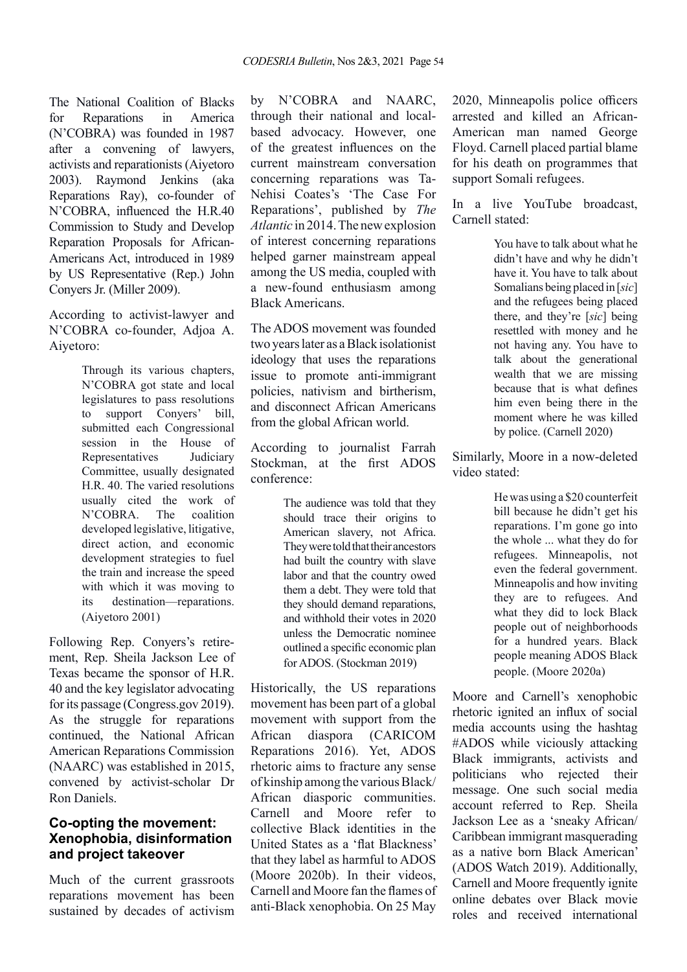The National Coalition of Blacks for Reparations in America (N'COBRA) was founded in 1987 after a convening of lawyers, activists and reparationists (Aiyetoro 2003). Raymond Jenkins (aka Reparations Ray), co-founder of N'COBRA, influenced the H.R.40 Commission to Study and Develop Reparation Proposals for African-Americans Act, introduced in 1989 by US Representative (Rep.) John Conyers Jr. (Miller 2009).

According to activist-lawyer and N'COBRA co-founder, Adjoa A. Aiyetoro:

> Through its various chapters, N'COBRA got state and local legislatures to pass resolutions to support Conyers' bill, submitted each Congressional session in the House of Representatives Judiciary Committee, usually designated H.R. 40. The varied resolutions usually cited the work of N'COBRA. The coalition developed legislative, litigative, direct action, and economic development strategies to fuel the train and increase the speed with which it was moving to its destination—reparations. (Aiyetoro 2001)

Following Rep. Conyers's retirement, Rep. Sheila Jackson Lee of Texas became the sponsor of H.R. 40 and the key legislator advocating for its passage (Congress.gov 2019). As the struggle for reparations continued, the National African American Reparations Commission (NAARC) was established in 2015, convened by activist-scholar Dr Ron Daniels.

### **Co-opting the movement: Xenophobia, disinformation and project takeover**

Much of the current grassroots reparations movement has been sustained by decades of activism by N'COBRA and NAARC, through their national and localbased advocacy. However, one of the greatest influences on the current mainstream conversation concerning reparations was Ta-Nehisi Coates's 'The Case For Reparations', published by *The Atlantic* in 2014. The new explosion of interest concerning reparations helped garner mainstream appeal among the US media, coupled with a new-found enthusiasm among Black Americans.

The ADOS movement was founded two years later as a Black isolationist ideology that uses the reparations issue to promote anti-immigrant policies, nativism and birtherism, and disconnect African Americans from the global African world.

According to journalist Farrah Stockman, at the first ADOS conference:

> The audience was told that they should trace their origins to American slavery, not Africa. They were told that their ancestors had built the country with slave labor and that the country owed them a debt. They were told that they should demand reparations, and withhold their votes in 2020 unless the Democratic nominee outlined a specific economic plan for ADOS. (Stockman 2019)

Historically, the US reparations movement has been part of a global movement with support from the African diaspora (CARICOM Reparations 2016). Yet, ADOS rhetoric aims to fracture any sense of kinship among the various Black/ African diasporic communities. Carnell and Moore refer to collective Black identities in the United States as a 'flat Blackness' that they label as harmful to ADOS (Moore 2020b). In their videos, Carnell and Moore fan the flames of anti-Black xenophobia. On 25 May

2020, Minneapolis police officers arrested and killed an African-American man named George Floyd. Carnell placed partial blame for his death on programmes that support Somali refugees.

In a live YouTube broadcast, Carnell stated:

> You have to talk about what he didn't have and why he didn't have it. You have to talk about Somalians being placed in [*sic*] and the refugees being placed there, and they're [*sic*] being resettled with money and he not having any. You have to talk about the generational wealth that we are missing because that is what defines him even being there in the moment where he was killed by police. (Carnell 2020)

Similarly, Moore in a now-deleted video stated:

> He was using a \$20 counterfeit bill because he didn't get his reparations. I'm gone go into the whole ... what they do for refugees. Minneapolis, not even the federal government. Minneapolis and how inviting they are to refugees. And what they did to lock Black people out of neighborhoods for a hundred years. Black people meaning ADOS Black people. (Moore 2020a)

Moore and Carnell's xenophobic rhetoric ignited an influx of social media accounts using the hashtag #ADOS while viciously attacking Black immigrants, activists and politicians who rejected their message. One such social media account referred to Rep. Sheila Jackson Lee as a 'sneaky African/ Caribbean immigrant masquerading as a native born Black American' (ADOS Watch 2019). Additionally, Carnell and Moore frequently ignite online debates over Black movie roles and received international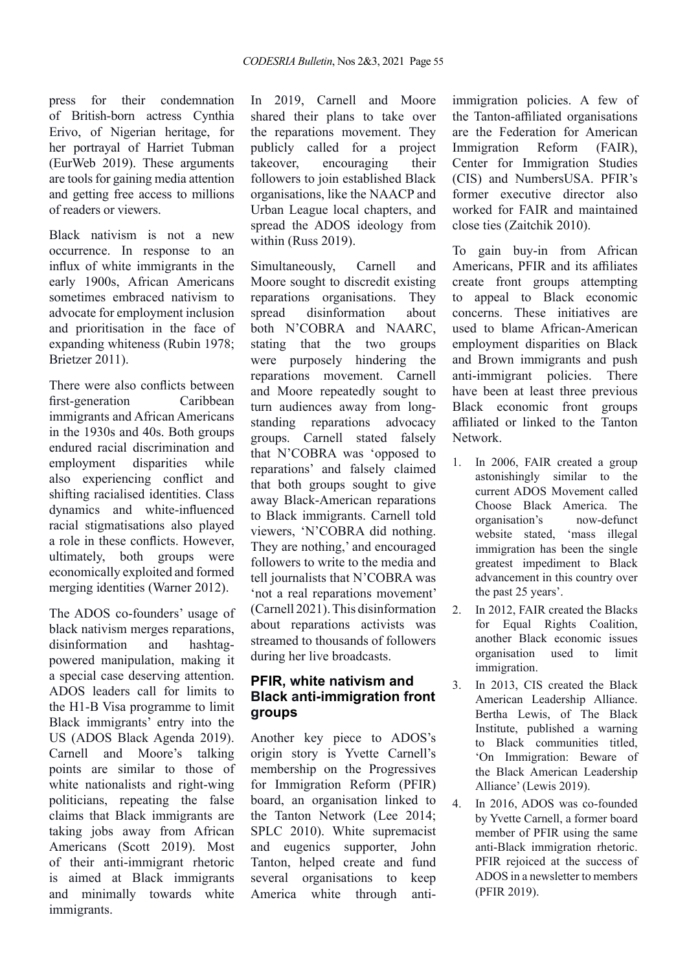press for their condemnation of British-born actress Cynthia Erivo, of Nigerian heritage, for her portrayal of Harriet Tubman (EurWeb 2019). These arguments are tools for gaining media attention and getting free access to millions of readers or viewers.

Black nativism is not a new occurrence. In response to an influx of white immigrants in the early 1900s, African Americans sometimes embraced nativism to advocate for employment inclusion and prioritisation in the face of expanding whiteness (Rubin 1978; Brietzer 2011).

There were also conflicts between first-generation Caribbean immigrants and African Americans in the 1930s and 40s. Both groups endured racial discrimination and employment disparities while also experiencing conflict and shifting racialised identities. Class dynamics and white-influenced racial stigmatisations also played a role in these conflicts. However, ultimately, both groups were economically exploited and formed merging identities (Warner 2012).

The ADOS co-founders' usage of black nativism merges reparations, disinformation and hashtagpowered manipulation, making it a special case deserving attention. ADOS leaders call for limits to the H1-B Visa programme to limit Black immigrants' entry into the US (ADOS Black Agenda 2019). Carnell and Moore's talking points are similar to those of white nationalists and right-wing politicians, repeating the false claims that Black immigrants are taking jobs away from African Americans (Scott 2019). Most of their anti-immigrant rhetoric is aimed at Black immigrants and minimally towards white immigrants.

In 2019, Carnell and Moore shared their plans to take over the reparations movement. They publicly called for a project takeover, encouraging their followers to join established Black organisations, like the NAACP and Urban League local chapters, and spread the ADOS ideology from within (Russ 2019).

Simultaneously, Carnell and Moore sought to discredit existing reparations organisations. They spread disinformation about both N'COBRA and NAARC, stating that the two groups were purposely hindering the reparations movement. Carnell and Moore repeatedly sought to turn audiences away from longstanding reparations advocacy groups. Carnell stated falsely that N'COBRA was 'opposed to reparations' and falsely claimed that both groups sought to give away Black-American reparations to Black immigrants. Carnell told viewers, 'N'COBRA did nothing. They are nothing,' and encouraged followers to write to the media and tell journalists that N'COBRA was 'not a real reparations movement' (Carnell 2021). This disinformation about reparations activists was streamed to thousands of followers during her live broadcasts.

## **PFIR, white nativism and Black anti-immigration front groups**

Another key piece to ADOS's origin story is Yvette Carnell's membership on the Progressives for Immigration Reform (PFIR) board, an organisation linked to the Tanton Network (Lee 2014; SPLC 2010). White supremacist and eugenics supporter, John Tanton, helped create and fund several organisations to keep America white through antiimmigration policies. A few of the Tanton-affiliated organisations are the Federation for American Immigration Reform (FAIR), Center for Immigration Studies (CIS) and NumbersUSA. PFIR's former executive director also worked for FAIR and maintained close ties (Zaitchik 2010).

To gain buy-in from African Americans, PFIR and its affiliates create front groups attempting to appeal to Black economic concerns. These initiatives are used to blame African-American employment disparities on Black and Brown immigrants and push anti-immigrant policies. There have been at least three previous Black economic front groups affiliated or linked to the Tanton Network.

- 1. In 2006, FAIR created a group astonishingly similar to the current ADOS Movement called Choose Black America. The organisation's now-defunct website stated, 'mass illegal immigration has been the single greatest impediment to Black advancement in this country over the past 25 years'.
- 2. In 2012, FAIR created the Blacks for Equal Rights Coalition, another Black economic issues organisation used to limit immigration.
- 3. In 2013, CIS created the Black American Leadership Alliance. Bertha Lewis, of The Black Institute, published a warning to Black communities titled, 'On Immigration: Beware of the Black American Leadership Alliance' (Lewis 2019).
- 4. In 2016, ADOS was co-founded by Yvette Carnell, a former board member of PFIR using the same anti-Black immigration rhetoric. PFIR rejoiced at the success of ADOS in a newsletter to members (PFIR 2019).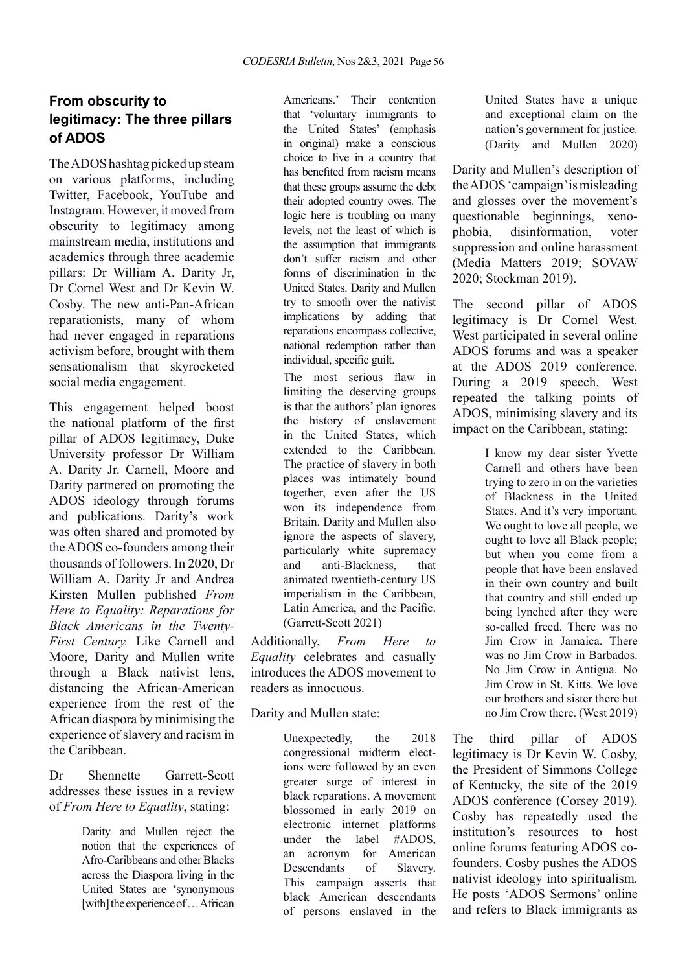## **From obscurity to legitimacy: The three pillars of ADOS**

The ADOS hashtag picked up steam on various platforms, including Twitter, Facebook, YouTube and Instagram. However, it moved from obscurity to legitimacy among mainstream media, institutions and academics through three academic pillars: Dr William A. Darity Jr, Dr Cornel West and Dr Kevin W. Cosby. The new anti-Pan-African reparationists, many of whom had never engaged in reparations activism before, brought with them sensationalism that skyrocketed social media engagement.

This engagement helped boost the national platform of the first pillar of ADOS legitimacy, Duke University professor Dr William A. Darity Jr. Carnell, Moore and Darity partnered on promoting the ADOS ideology through forums and publications. Darity's work was often shared and promoted by the ADOS co-founders among their thousands of followers. In 2020, Dr William A. Darity Jr and Andrea Kirsten Mullen published *From Here to Equality: Reparations for Black Americans in the Twenty-First Century.* Like Carnell and Moore, Darity and Mullen write through a Black nativist lens, distancing the African-American experience from the rest of the African diaspora by minimising the experience of slavery and racism in the Caribbean.

Dr Shennette Garrett-Scott addresses these issues in a review of *From Here to Equality*, stating:

> Darity and Mullen reject the notion that the experiences of Afro-Caribbeans and other Blacks across the Diaspora living in the United States are 'synonymous [with] the experience of … African

Americans.' Their contention that 'voluntary immigrants to the United States' (emphasis in original) make a conscious choice to live in a country that has benefited from racism means that these groups assume the debt their adopted country owes. The logic here is troubling on many levels, not the least of which is the assumption that immigrants don't suffer racism and other forms of discrimination in the United States. Darity and Mullen try to smooth over the nativist implications by adding that reparations encompass collective, national redemption rather than individual, specific guilt.

The most serious flaw in limiting the deserving groups is that the authors' plan ignores the history of enslavement in the United States, which extended to the Caribbean. The practice of slavery in both places was intimately bound together, even after the US won its independence from Britain. Darity and Mullen also ignore the aspects of slavery, particularly white supremacy and anti-Blackness, that animated twentieth-century US imperialism in the Caribbean, Latin America, and the Pacific. (Garrett-Scott 2021)

Additionally, *From Here to Equality* celebrates and casually introduces the ADOS movement to readers as innocuous.

Darity and Mullen state:

Unexpectedly, the 2018 congressional midterm elections were followed by an even greater surge of interest in black reparations. A movement blossomed in early 2019 on electronic internet platforms under the label #ADOS, an acronym for American Descendants of Slavery. This campaign asserts that black American descendants of persons enslaved in the

United States have a unique and exceptional claim on the nation's government for justice. (Darity and Mullen 2020)

Darity and Mullen's description of the ADOS 'campaign' is misleading and glosses over the movement's questionable beginnings, xenophobia, disinformation, voter suppression and online harassment (Media Matters 2019; SOVAW 2020; Stockman 2019).

The second pillar of ADOS legitimacy is Dr Cornel West. West participated in several online ADOS forums and was a speaker at the ADOS 2019 conference. During a 2019 speech, West repeated the talking points of ADOS, minimising slavery and its impact on the Caribbean, stating:

> I know my dear sister Yvette Carnell and others have been trying to zero in on the varieties of Blackness in the United States. And it's very important. We ought to love all people, we ought to love all Black people; but when you come from a people that have been enslaved in their own country and built that country and still ended up being lynched after they were so-called freed. There was no Jim Crow in Jamaica. There was no Jim Crow in Barbados. No Jim Crow in Antigua. No Jim Crow in St. Kitts. We love our brothers and sister there but no Jim Crow there. (West 2019)

The third pillar of ADOS legitimacy is Dr Kevin W. Cosby, the President of Simmons College of Kentucky, the site of the 2019 ADOS conference (Corsey 2019). Cosby has repeatedly used the institution's resources to host online forums featuring ADOS cofounders. Cosby pushes the ADOS nativist ideology into spiritualism. He posts 'ADOS Sermons' online and refers to Black immigrants as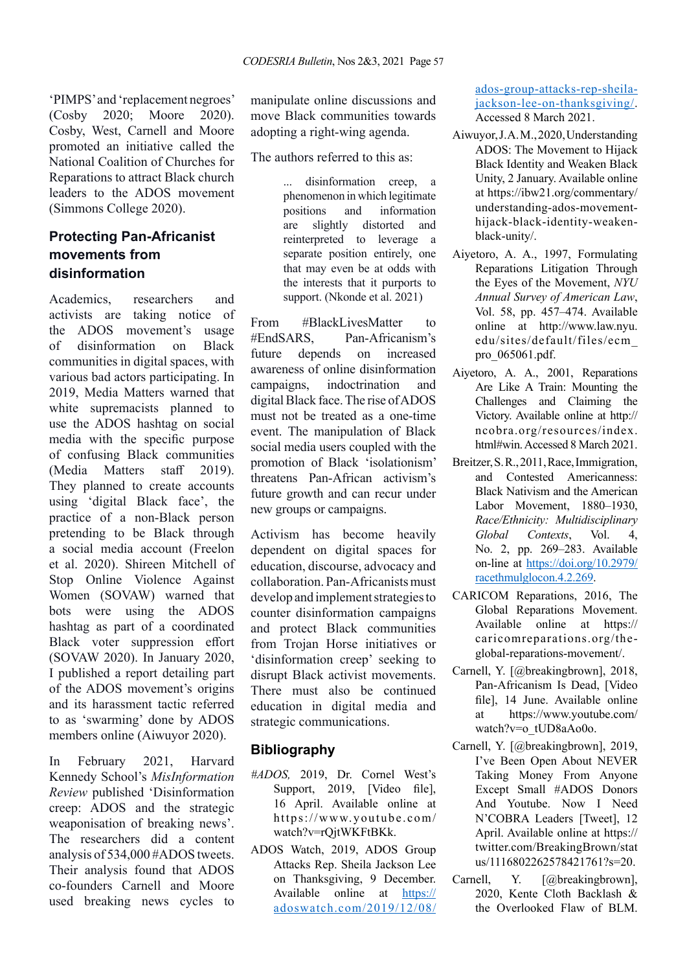'PIMPS' and 'replacement negroes' (Cosby 2020; Moore 2020). Cosby, West, Carnell and Moore promoted an initiative called the National Coalition of Churches for Reparations to attract Black church leaders to the ADOS movement (Simmons College 2020).

## **Protecting Pan-Africanist movements from disinformation**

Academics, researchers and activists are taking notice of the ADOS movement's usage of disinformation on Black communities in digital spaces, with various bad actors participating. In 2019, Media Matters warned that white supremacists planned to use the ADOS hashtag on social media with the specific purpose of confusing Black communities (Media Matters staff 2019). They planned to create accounts using 'digital Black face', the practice of a non-Black person pretending to be Black through a social media account (Freelon et al. 2020). Shireen Mitchell of Stop Online Violence Against Women (SOVAW) warned that bots were using the ADOS hashtag as part of a coordinated Black voter suppression effort (SOVAW 2020). In January 2020, I published a report detailing part of the ADOS movement's origins and its harassment tactic referred to as 'swarming' done by ADOS members online (Aiwuyor 2020).

In February 2021, Harvard Kennedy School's *MisInformation Review* published 'Disinformation creep: ADOS and the strategic weaponisation of breaking news'. The researchers did a content analysis of 534,000 #ADOS tweets. Their analysis found that ADOS co-founders Carnell and Moore used breaking news cycles to manipulate online discussions and move Black communities towards adopting a right-wing agenda.

The authors referred to this as:

... disinformation creep, a phenomenon in which legitimate positions and information are slightly distorted and reinterpreted to leverage a separate position entirely, one that may even be at odds with the interests that it purports to support. (Nkonde et al. 2021)

From #BlackLivesMatter to #EndSARS, Pan-Africanism's future depends on increased awareness of online disinformation campaigns, indoctrination and digital Black face. The rise of ADOS must not be treated as a one-time event. The manipulation of Black social media users coupled with the promotion of Black 'isolationism' threatens Pan-African activism's future growth and can recur under new groups or campaigns.

Activism has become heavily dependent on digital spaces for education, discourse, advocacy and collaboration. Pan-Africanists must develop and implement strategies to counter disinformation campaigns and protect Black communities from Trojan Horse initiatives or 'disinformation creep' seeking to disrupt Black activist movements. There must also be continued education in digital media and strategic communications.

#### **Bibliography**

- *#ADOS,* 2019, Dr. Cornel West's Support, 2019, [Video file], 16 April. Available online at https://www.youtube.com/ watch?v=rQjtWKFtBKk.
- ADOS Watch, 2019, ADOS Group Attacks Rep. Sheila Jackson Lee on Thanksgiving, 9 December. Available online at [https://](https://adoswatch.com/2019/12/08/ados-group-attacks-rep-sheila-jackson-lee-on-thanksgiving/) [adoswatch.com/2019/12/08/](https://adoswatch.com/2019/12/08/ados-group-attacks-rep-sheila-jackson-lee-on-thanksgiving/)

[ados-group-attacks-rep-sheila](https://adoswatch.com/2019/12/08/ados-group-attacks-rep-sheila-jackson-lee-on-thanksgiving/)[jackson-lee-on-thanksgiving/](https://adoswatch.com/2019/12/08/ados-group-attacks-rep-sheila-jackson-lee-on-thanksgiving/). Accessed 8 March 2021.

- Aiwuyor, J. A. M., 2020, Understanding ADOS: The Movement to Hijack Black Identity and Weaken Black Unity, 2 January. Available online at https://ibw21.org/commentary/ understanding-ados-movementhijack-black-identity-weakenblack-unity/.
- Aiyetoro, A. A., 1997, Formulating Reparations Litigation Through the Eyes of the Movement, *NYU Annual Survey of American Law*, Vol. 58, pp. 457–474. Available online at http://www.law.nyu. edu/sites/default/files/ecm\_ pro\_065061.pdf.
- Aiyetoro, A. A., 2001, Reparations Are Like A Train: Mounting the Challenges and Claiming the Victory. Available online at http:// ncobra.org/resources/index. html#win. Accessed 8 March 2021.
- Breitzer, S. R., 2011, Race, Immigration, and Contested Americanness: Black Nativism and the American Labor Movement, 1880–1930, *Race/Ethnicity: Multidisciplinary Global Contexts*, Vol. 4, No. 2, pp. 269–283. Available on-line at [https://doi.org/10.2979/](https://doi.org/10.2979/racethmulglocon.4.2.269) [racethmulglocon.4.2.269](https://doi.org/10.2979/racethmulglocon.4.2.269).
- CARICOM Reparations, 2016, The Global Reparations Movement. Available online at https:// caricomreparations.org/theglobal-reparations-movement/.
- Carnell, Y. [@breakingbrown], 2018, Pan-Africanism Is Dead, [Video file], 14 June. Available online at https://www.youtube.com/ watch?v=o\_tUD8aAo0o.
- Carnell, Y. [@breakingbrown], 2019, I've Been Open About NEVER Taking Money From Anyone Except Small #ADOS Donors And Youtube. Now I Need N'COBRA Leaders [Tweet], 12 April. Available online at https:// twitter.com/BreakingBrown/stat us/1116802262578421761?s=20.
- Carnell, Y. [@breakingbrown], 2020, Kente Cloth Backlash & the Overlooked Flaw of BLM.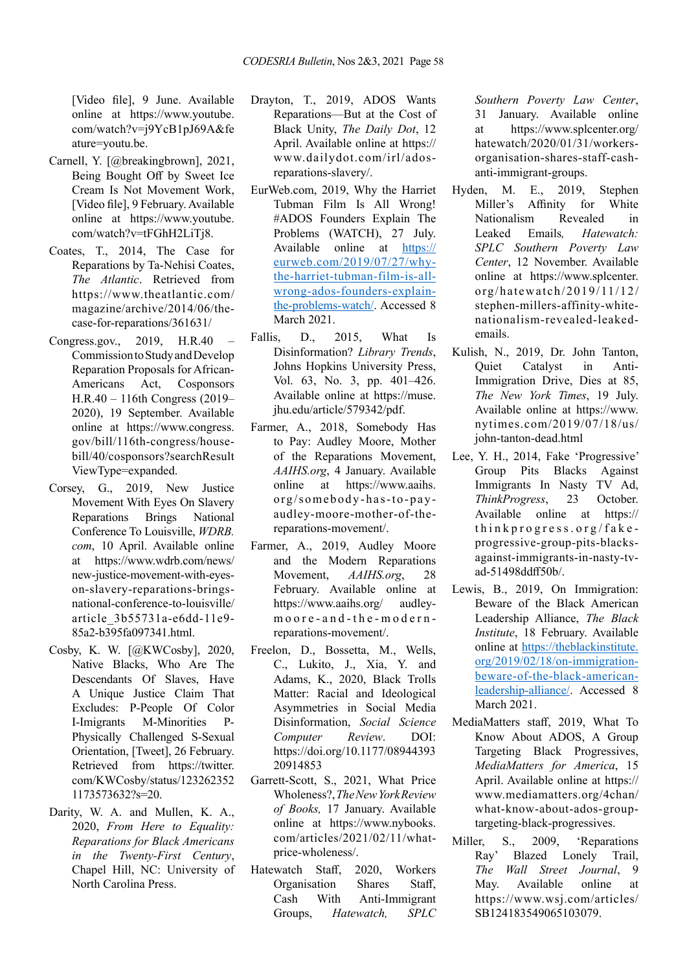[Video file], 9 June. Available online at https://www.youtube. com/watch?v=j9YcB1pJ69A&fe ature=youtu.be.

- Carnell, Y. [@breakingbrown], 2021, Being Bought Off by Sweet Ice Cream Is Not Movement Work, [Video file], 9 February. Available online at https://www.youtube. com/watch?v=tFGhH2LiTj8.
- Coates, T., 2014, The Case for Reparations by Ta-Nehisi Coates, *The Atlantic*. Retrieved from https://www.theatlantic.com/ magazine/archive/2014/06/thecase-for-reparations/361631/
- Congress.gov., 2019, H.R.40 Commission to Study and Develop Reparation Proposals for African-Americans Act, Cosponsors H.R.40 – 116th Congress (2019– 2020), 19 September. Available online at https://www.congress. gov/bill/116th-congress/housebill/40/cosponsors?searchResult ViewType=expanded.
- Corsey, G., 2019, New Justice Movement With Eyes On Slavery Reparations Brings National Conference To Louisville, *WDRB. com*, 10 April. Available online at https://www.wdrb.com/news/ new-justice-movement-with-eyeson-slavery-reparations-bringsnational-conference-to-louisville/ article\_3b55731a-e6dd-11e9- 85a2-b395fa097341.html.
- Cosby, K. W. [@KWCosby], 2020, Native Blacks, Who Are The Descendants Of Slaves, Have A Unique Justice Claim That Excludes: P-People Of Color I-Imigrants M-Minorities P-Physically Challenged S-Sexual Orientation, [Tweet], 26 February. Retrieved from https://twitter. com/KWCosby/status/123262352 1173573632?s=20.
- Darity, W. A. and Mullen, K. A., 2020, *From Here to Equality: Reparations for Black Americans in the Twenty-First Century*, Chapel Hill, NC: University of North Carolina Press.
- Drayton, T., 2019, ADOS Wants Reparations—But at the Cost of Black Unity, *The Daily Dot*, 12 April. Available online at https:// www.dailydot.com/irl/adosreparations-slavery/.
- EurWeb.com, 2019, Why the Harriet Tubman Film Is All Wrong! #ADOS Founders Explain The Problems (WATCH), 27 July. Available online at [https://](https://eurweb.com/2019/07/27/why-the-harriet-tubman-film-is-all-wrong-ados-founders-explain-the-problems-watch/) [eurweb.com/2019/07/27/why](https://eurweb.com/2019/07/27/why-the-harriet-tubman-film-is-all-wrong-ados-founders-explain-the-problems-watch/)[the-harriet-tubman-film-is-all](https://eurweb.com/2019/07/27/why-the-harriet-tubman-film-is-all-wrong-ados-founders-explain-the-problems-watch/)[wrong-ados-founders-explain](https://eurweb.com/2019/07/27/why-the-harriet-tubman-film-is-all-wrong-ados-founders-explain-the-problems-watch/)[the-problems-watch/](https://eurweb.com/2019/07/27/why-the-harriet-tubman-film-is-all-wrong-ados-founders-explain-the-problems-watch/). Accessed 8 March 2021.
- Fallis, D., 2015, What Is Disinformation? *Library Trends*, Johns Hopkins University Press, Vol. 63, No. 3, pp. 401–426. Available online at https://muse. jhu.edu/article/579342/pdf.
- Farmer, A., 2018, Somebody Has to Pay: Audley Moore, Mother of the Reparations Movement, *AAIHS.org*, 4 January. Available online at https://www.aaihs. org/somebody-has-to-payaudley-moore-mother-of-thereparations-movement/.
- Farmer, A., 2019, Audley Moore and the Modern Reparations Movement, *AAIHS.org*, 28 February. Available online at https://www.aaihs.org/ audleymoore-and-the-modernreparations-movement/.
- Freelon, D., Bossetta, M., Wells, C., Lukito, J., Xia, Y. and Adams, K., 2020, Black Trolls Matter: Racial and Ideological Asymmetries in Social Media Disinformation, *Social Science Computer Review*. DOI: https://doi.org/10.1177/08944393 20914853
- Garrett-Scott, S., 2021, What Price Wholeness?, *The New York Review of Books,* 17 January. Available online at https://www.nybooks. com/articles/2021/02/11/whatprice-wholeness/.
- Hatewatch Staff, 2020, Workers Organisation Shares Staff, Cash With Anti-Immigrant Groups, *Hatewatch, SPLC*

*Southern Poverty Law Center*, 31 January. Available online at https://www.splcenter.org/ hatewatch/2020/01/31/workersorganisation-shares-staff-cashanti-immigrant-groups.

- Hyden, M. E., 2019, Stephen Miller's Affinity for White Nationalism Revealed in Leaked Emails*, Hatewatch: SPLC Southern Poverty Law Center*, 12 November. Available online at https://www.splcenter. org/hatewatch/2019/11/12/ stephen-millers-affinity-whitenationalism-revealed-leakedemails.
- Kulish, N., 2019, Dr. John Tanton, Quiet Catalyst in Anti-Immigration Drive, Dies at 85, *The New York Times*, 19 July. Available online at https://www. nytimes.com/2019/07/18/us/ john-tanton-dead.html
- Lee, Y. H., 2014, Fake 'Progressive' Group Pits Blacks Against Immigrants In Nasty TV Ad, *ThinkProgress*, 23 October. Available online at https:// thinkprogress.org/fakeprogressive-group-pits-blacksagainst-immigrants-in-nasty-tvad-51498ddff50b/.
- Lewis, B., 2019, On Immigration: Beware of the Black American Leadership Alliance, *The Black Institute*, 18 February. Available online at [https://theblackinstitute.](https://theblackinstitute.org/2019/02/18/on-immigration-beware-of-the-black-american-leadership-alliance/) [org/2019/02/18/on-immigration](https://theblackinstitute.org/2019/02/18/on-immigration-beware-of-the-black-american-leadership-alliance/)[beware-of-the-black-american](https://theblackinstitute.org/2019/02/18/on-immigration-beware-of-the-black-american-leadership-alliance/)[leadership-alliance/.](https://theblackinstitute.org/2019/02/18/on-immigration-beware-of-the-black-american-leadership-alliance/) Accessed 8 March 2021.
- MediaMatters staff, 2019, What To Know About ADOS, A Group Targeting Black Progressives, *MediaMatters for America*, 15 April. Available online at https:// www.mediamatters.org/4chan/ what-know-about-ados-grouptargeting-black-progressives.
- Miller, S., 2009, 'Reparations Ray' Blazed Lonely Trail, *The Wall Street Journal*, 9 May. Available online at https://www.wsj.com/articles/ SB124183549065103079.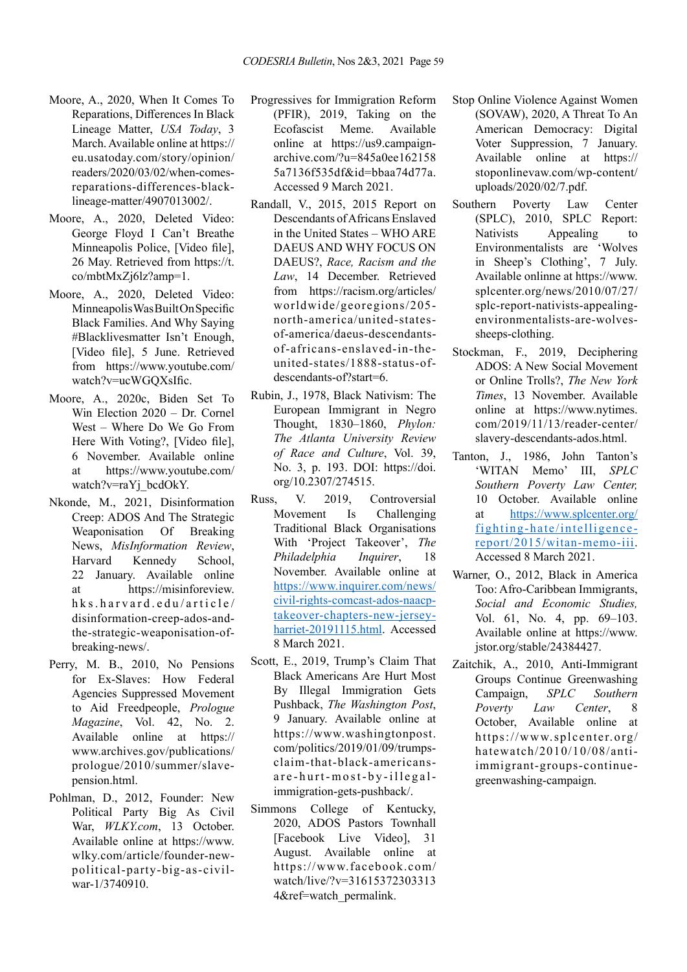- Moore, A., 2020, When It Comes To Reparations, Differences In Black Lineage Matter, *USA Today*, 3 March. Available online at https:// eu.usatoday.com/story/opinion/ readers/2020/03/02/when-comesreparations-differences-blacklineage-matter/4907013002/.
- Moore, A., 2020, Deleted Video: George Floyd I Can't Breathe Minneapolis Police, [Video file], 26 May. Retrieved from https://t. co/mbtMxZj6lz?amp=1.
- Moore, A., 2020, Deleted Video: Minneapolis Was Built On Specific Black Families. And Why Saying #Blacklivesmatter Isn't Enough, [Video file], 5 June. Retrieved from https://www.youtube.com/ watch?v=ucWGQXsIfic.
- Moore, A., 2020c, Biden Set To Win Election 2020 – Dr. Cornel West – Where Do We Go From Here With Voting?, [Video file], 6 November. Available online at https://www.youtube.com/ watch?v=raYj\_bcdOkY.
- Nkonde, M., 2021, Disinformation Creep: ADOS And The Strategic Weaponisation Of Breaking News, *MisInformation Review*, Harvard Kennedy School, 22 January. Available online at https://misinforeview. hks.harvard.edu/article/ disinformation-creep-ados-andthe-strategic-weaponisation-ofbreaking-news/.
- Perry, M. B., 2010, No Pensions for Ex-Slaves: How Federal Agencies Suppressed Movement to Aid Freedpeople, *Prologue Magazine*, Vol. 42, No. 2. Available online at https:// www.archives.gov/publications/ prologue/2010/summer/slavepension.html.
- Pohlman, D., 2012, Founder: New Political Party Big As Civil War, *WLKY.com*, 13 October. Available online at https://www. wlky.com/article/founder-newpolitical-party-big-as-civilwar-1/3740910.
- Progressives for Immigration Reform (PFIR), 2019, Taking on the Ecofascist Meme. Available online at https://us9.campaignarchive.com/?u=845a0ee162158 5a7136f535df&id=bbaa74d77a. Accessed 9 March 2021.
- Randall, V., 2015, 2015 Report on Descendants of Africans Enslaved in the United States – WHO ARE DAEUS AND WHY FOCUS ON DAEUS?, *Race, Racism and the Law*, 14 December. Retrieved from https://racism.org/articles/ worldwide/georegions/205 north-america/united-statesof-america/daeus-descendantsof-africans-enslaved-in-theunited-states/1888-status-ofdescendants-of?start=6.
- Rubin, J., 1978, Black Nativism: The European Immigrant in Negro Thought, 1830–1860, *Phylon: The Atlanta University Review of Race and Culture*, Vol. 39, No. 3, p. 193. DOI: https://doi. org/10.2307/274515.
- Russ, V. 2019, Controversial Movement Is Challenging Traditional Black Organisations With 'Project Takeover', *The Philadelphia Inquirer*, 18 November. Available online at [https://www.inquirer.com/news/](https://www.inquirer.com/news/civil-rights-comcast-ados-naacp-takeover-chapters-new-jersey-harriet-20191115.html) [civil-rights-comcast-ados-naacp](https://www.inquirer.com/news/civil-rights-comcast-ados-naacp-takeover-chapters-new-jersey-harriet-20191115.html)[takeover-chapters-new-jersey](https://www.inquirer.com/news/civil-rights-comcast-ados-naacp-takeover-chapters-new-jersey-harriet-20191115.html)[harriet-20191115.html](https://www.inquirer.com/news/civil-rights-comcast-ados-naacp-takeover-chapters-new-jersey-harriet-20191115.html). Accessed 8 March 2021.
- Scott, E., 2019, Trump's Claim That Black Americans Are Hurt Most By Illegal Immigration Gets Pushback, *The Washington Post*, 9 January. Available online at https://www.washingtonpost. com/politics/2019/01/09/trumpsclaim-that-black-americansare-hurt-most-by-illegalimmigration-gets-pushback/.
- Simmons College of Kentucky, 2020, ADOS Pastors Townhall [Facebook Live Video], 31 August. Available online at https://www.facebook.com/ watch/live/?v=31615372303313 4&ref=watch\_permalink.
- Stop Online Violence Against Women (SOVAW), 2020, A Threat To An American Democracy: Digital Voter Suppression, 7 January. Available online at https:// stoponlinevaw.com/wp-content/ uploads/2020/02/7.pdf.
- Southern Poverty Law Center (SPLC), 2010, SPLC Report: Nativists Appealing to Environmentalists are 'Wolves in Sheep's Clothing', 7 July. Available onlinne at https://www. splcenter.org/news/2010/07/27/ splc-report-nativists-appealingenvironmentalists-are-wolvessheeps-clothing.
- Stockman, F., 2019, Deciphering ADOS: A New Social Movement or Online Trolls?, *The New York Times*, 13 November. Available online at https://www.nytimes. com/2019/11/13/reader-center/ slavery-descendants-ados.html.
- Tanton, J., 1986, John Tanton's 'WITAN Memo' III, *SPLC Southern Poverty Law Center,*  10 October. Available online at [https://www.splcenter.org/](https://www.splcenter.org/fighting-hate/intelligence-report/2015/witan-memo-iii) [fighting-hate/intelligence](https://www.splcenter.org/fighting-hate/intelligence-report/2015/witan-memo-iii)[report/2015/witan-memo-iii](https://www.splcenter.org/fighting-hate/intelligence-report/2015/witan-memo-iii). Accessed 8 March 2021.
- Warner, O., 2012, Black in America Too: Afro-Caribbean Immigrants, *Social and Economic Studies,*  Vol. 61, No. 4, pp. 69–103. Available online at https://www. jstor.org/stable/24384427.
- Zaitchik, A., 2010, Anti-Immigrant Groups Continue Greenwashing Campaign, *SPLC Southern Poverty Law Center*, 8 October, Available online at https://www.splcenter.org/ hatewatch/2010/10/08/antiimmigrant-groups-continuegreenwashing-campaign.